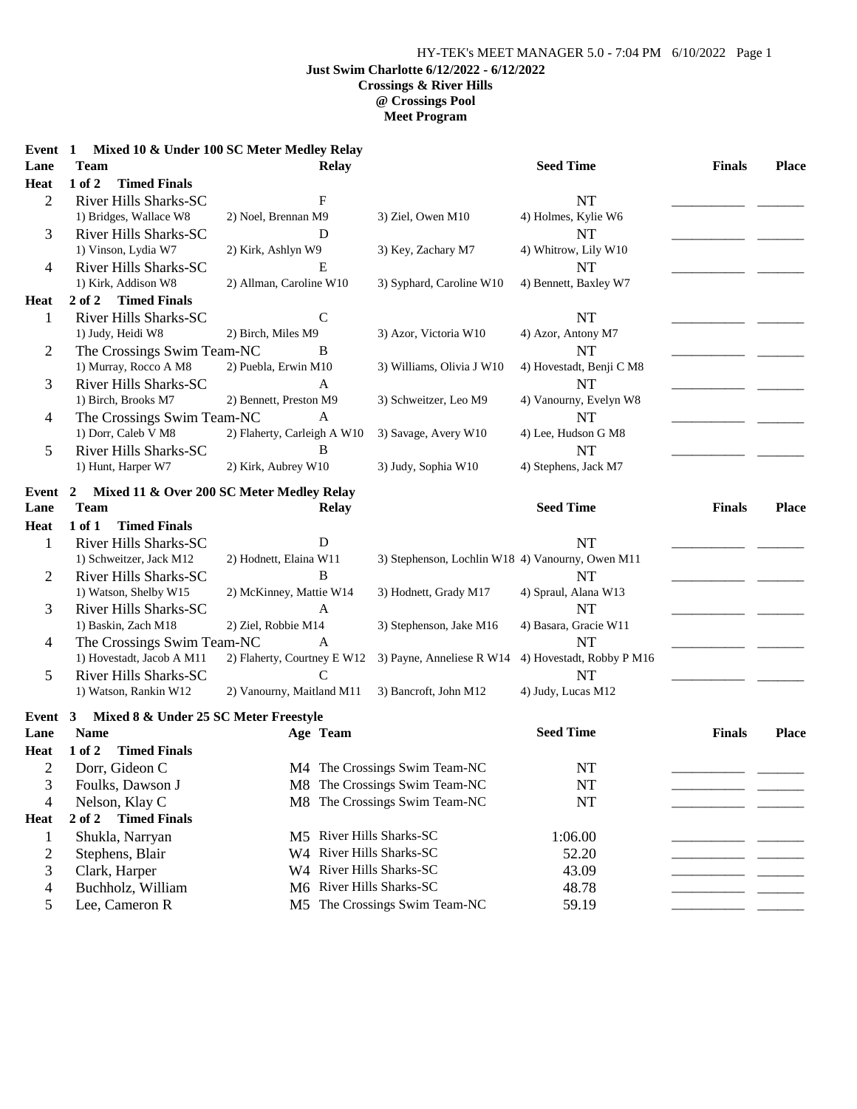## HY-TEK's MEET MANAGER 5.0 - 7:04 PM 6/10/2022 Page 1 **Just Swim Charlotte 6/12/2022 - 6/12/2022 Crossings & River Hills @ Crossings Pool Meet Program**

| Event 1        |                                       | Mixed 10 & Under 100 SC Meter Medley Relay |                                                  |                           |               |              |
|----------------|---------------------------------------|--------------------------------------------|--------------------------------------------------|---------------------------|---------------|--------------|
| Lane           | <b>Team</b>                           | <b>Relay</b>                               |                                                  | <b>Seed Time</b>          | <b>Finals</b> | Place        |
| Heat           | 1 of 2<br><b>Timed Finals</b>         |                                            |                                                  |                           |               |              |
| $\overline{2}$ | <b>River Hills Sharks-SC</b>          | $\mathbf{F}$                               |                                                  | <b>NT</b>                 |               |              |
|                | 1) Bridges, Wallace W8                | 2) Noel, Brennan M9                        | 3) Ziel, Owen M10                                | 4) Holmes, Kylie W6       |               |              |
| 3              | River Hills Sharks-SC                 | D                                          |                                                  | <b>NT</b>                 |               |              |
|                | 1) Vinson, Lydia W7                   | 2) Kirk, Ashlyn W9                         | 3) Key, Zachary M7                               | 4) Whitrow, Lily W10      |               |              |
| 4              | <b>River Hills Sharks-SC</b>          | E                                          |                                                  | <b>NT</b>                 |               |              |
|                | 1) Kirk, Addison W8                   | 2) Allman, Caroline W10                    | 3) Syphard, Caroline W10                         | 4) Bennett, Baxley W7     |               |              |
| <b>Heat</b>    | 2 of 2<br><b>Timed Finals</b>         |                                            |                                                  |                           |               |              |
| $\mathbf{1}$   | River Hills Sharks-SC                 | $\mathbf C$                                |                                                  | <b>NT</b>                 |               |              |
|                | 1) Judy, Heidi W8                     | 2) Birch, Miles M9                         | 3) Azor, Victoria W10                            | 4) Azor, Antony M7        |               |              |
| 2              | The Crossings Swim Team-NC            | B                                          |                                                  | NT                        |               |              |
|                | 1) Murray, Rocco A M8                 | 2) Puebla, Erwin M10                       | 3) Williams, Olivia J W10                        | 4) Hovestadt, Benji C M8  |               |              |
| 3              | River Hills Sharks-SC                 | A                                          |                                                  | <b>NT</b>                 |               |              |
|                | 1) Birch, Brooks M7                   | 2) Bennett, Preston M9                     | 3) Schweitzer, Leo M9                            | 4) Vanourny, Evelyn W8    |               |              |
| 4              | The Crossings Swim Team-NC            | A                                          |                                                  | NT                        |               |              |
|                | 1) Dorr, Caleb V M8                   | 2) Flaherty, Carleigh A W10                | 3) Savage, Avery W10                             | 4) Lee, Hudson G M8       |               |              |
| 5              | <b>River Hills Sharks-SC</b>          | B                                          |                                                  | <b>NT</b>                 |               |              |
|                | 1) Hunt, Harper W7                    | 2) Kirk, Aubrey W10                        | 3) Judy, Sophia W10                              | 4) Stephens, Jack M7      |               |              |
| Event          | 2                                     | Mixed 11 & Over 200 SC Meter Medley Relay  |                                                  |                           |               |              |
| Lane           | <b>Team</b>                           | <b>Relay</b>                               |                                                  | <b>Seed Time</b>          | <b>Finals</b> | <b>Place</b> |
| <b>Heat</b>    | 1 of 1<br><b>Timed Finals</b>         |                                            |                                                  |                           |               |              |
| $\mathbf{1}$   | <b>River Hills Sharks-SC</b>          | D                                          |                                                  | NT                        |               |              |
|                | 1) Schweitzer, Jack M12               | 2) Hodnett, Elaina W11                     | 3) Stephenson, Lochlin W18 4) Vanourny, Owen M11 |                           |               |              |
| $\overline{2}$ | River Hills Sharks-SC                 | B                                          |                                                  | <b>NT</b>                 |               |              |
|                | 1) Watson, Shelby W15                 | 2) McKinney, Mattie W14                    | 3) Hodnett, Grady M17                            | 4) Spraul, Alana W13      |               |              |
| 3              | River Hills Sharks-SC                 | A                                          |                                                  | <b>NT</b>                 |               |              |
|                | 1) Baskin, Zach M18                   | 2) Ziel, Robbie M14                        | 3) Stephenson, Jake M16                          | 4) Basara, Gracie W11     |               |              |
| 4              | The Crossings Swim Team-NC            | A                                          |                                                  | <b>NT</b>                 |               |              |
|                | 1) Hovestadt, Jacob A M11             | 2) Flaherty, Courtney E W12                | 3) Payne, Anneliese R W14                        | 4) Hovestadt, Robby P M16 |               |              |
| 5              | <b>River Hills Sharks-SC</b>          | C                                          |                                                  | <b>NT</b>                 |               |              |
|                | 1) Watson, Rankin W12                 | 2) Vanourny, Maitland M11                  | 3) Bancroft, John M12                            | 4) Judy, Lucas M12        |               |              |
| Event 3        | Mixed 8 & Under 25 SC Meter Freestyle |                                            |                                                  |                           |               |              |
| Lane           | <b>Name</b>                           | Age Team                                   |                                                  | <b>Seed Time</b>          | <b>Finals</b> | <b>Place</b> |
| <b>Heat</b>    | 1 of 2<br><b>Timed Finals</b>         |                                            |                                                  |                           |               |              |
| 2              | Dorr, Gideon C                        |                                            | M4 The Crossings Swim Team-NC                    | $\rm{NT}$                 |               |              |
| 3              | Foulks, Dawson J                      |                                            | M8 The Crossings Swim Team-NC                    | NT                        |               |              |
| 4              | Nelson, Klay C                        |                                            | M8 The Crossings Swim Team-NC                    | <b>NT</b>                 |               |              |
| Heat           | <b>Timed Finals</b><br>2 of 2         |                                            |                                                  |                           |               |              |
| $\mathbf{1}$   | Shukla, Narryan                       | M5 River Hills Sharks-SC                   |                                                  | 1:06.00                   |               |              |
| $\overline{c}$ | Stephens, Blair                       | W4 River Hills Sharks-SC                   |                                                  | 52.20                     |               |              |
| 3              | Clark, Harper                         | W4 River Hills Sharks-SC                   |                                                  | 43.09                     |               |              |
| 4              | Buchholz, William                     | M6 River Hills Sharks-SC                   |                                                  | 48.78                     |               |              |
| 5              | Lee, Cameron R                        |                                            | M5 The Crossings Swim Team-NC                    | 59.19                     |               |              |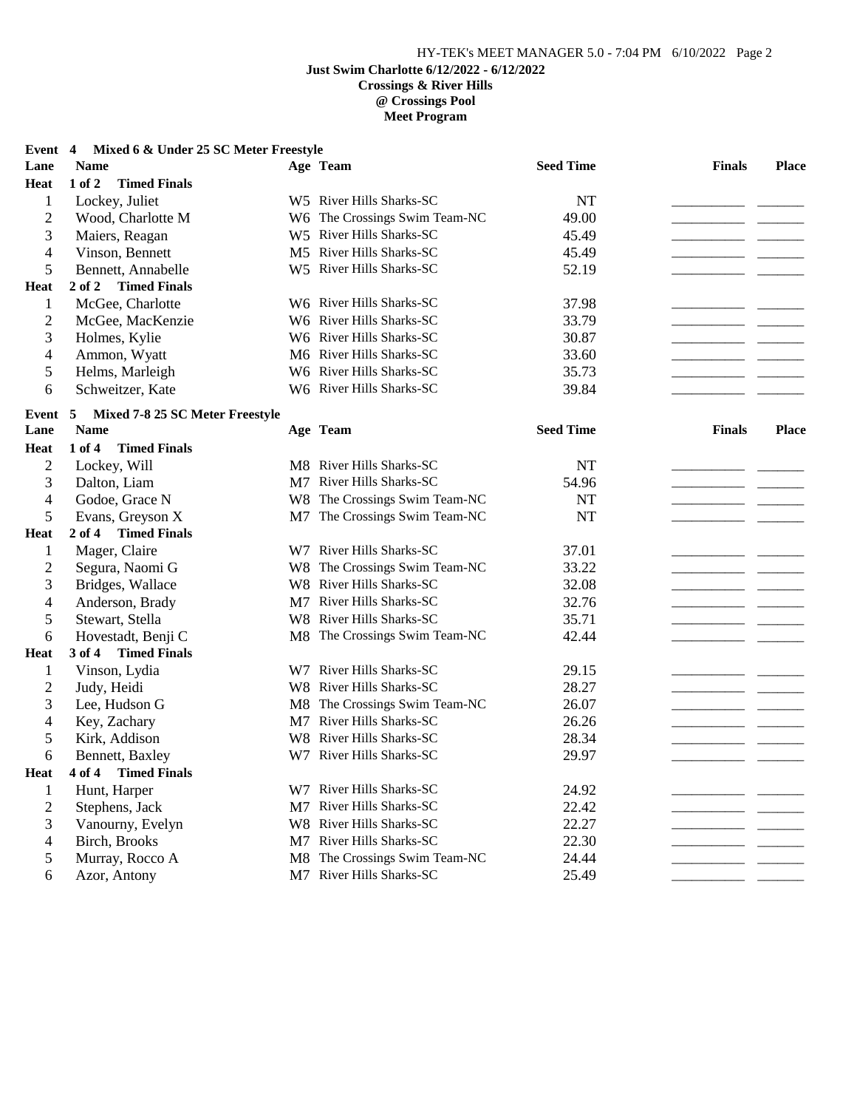## **Event 4 Mixed 6 & Under 25 SC Meter Freestyle**

| Lane           | <b>Name</b>                       | Age Team                      | <b>Seed Time</b> | <b>Finals</b>                 | Place                    |
|----------------|-----------------------------------|-------------------------------|------------------|-------------------------------|--------------------------|
| <b>Heat</b>    | $1$ of $2$<br><b>Timed Finals</b> |                               |                  |                               |                          |
| $\mathbf{1}$   | Lockey, Juliet                    | W5 River Hills Sharks-SC      | <b>NT</b>        |                               |                          |
| $\overline{2}$ | Wood, Charlotte M                 | W6 The Crossings Swim Team-NC | 49.00            |                               |                          |
| 3              | Maiers, Reagan                    | W5 River Hills Sharks-SC      | 45.49            |                               |                          |
| $\overline{4}$ | Vinson, Bennett                   | M5 River Hills Sharks-SC      | 45.49            |                               |                          |
| 5              | Bennett, Annabelle                | W5 River Hills Sharks-SC      | 52.19            |                               |                          |
| <b>Heat</b>    | 2 of 2<br><b>Timed Finals</b>     |                               |                  |                               |                          |
| $\mathbf{1}$   | McGee, Charlotte                  | W6 River Hills Sharks-SC      | 37.98            |                               |                          |
| $\overline{2}$ | McGee, MacKenzie                  | W6 River Hills Sharks-SC      | 33.79            |                               |                          |
| 3              | Holmes, Kylie                     | W6 River Hills Sharks-SC      | 30.87            | __ __                         |                          |
| $\overline{4}$ | Ammon, Wyatt                      | M6 River Hills Sharks-SC      | 33.60            |                               |                          |
| $\mathfrak s$  | Helms, Marleigh                   | W6 River Hills Sharks-SC      | 35.73            |                               |                          |
| 6              | Schweitzer, Kate                  | W6 River Hills Sharks-SC      | 39.84            |                               |                          |
| Event 5        | Mixed 7-8 25 SC Meter Freestyle   |                               |                  |                               |                          |
| Lane           | <b>Name</b>                       | Age Team                      | <b>Seed Time</b> | <b>Finals</b>                 | <b>Place</b>             |
| <b>Heat</b>    | <b>Timed Finals</b><br>1 of 4     |                               |                  |                               |                          |
| $\overline{2}$ | Lockey, Will                      | M8 River Hills Sharks-SC      | <b>NT</b>        |                               |                          |
| 3              | Dalton, Liam                      | M7 River Hills Sharks-SC      | 54.96            | — —                           |                          |
| $\overline{4}$ | Godoe, Grace N                    | W8 The Crossings Swim Team-NC | <b>NT</b>        |                               |                          |
| 5              | Evans, Greyson X                  | M7 The Crossings Swim Team-NC | <b>NT</b>        |                               |                          |
| <b>Heat</b>    | 2 of 4 Timed Finals               |                               |                  |                               |                          |
| $\mathbf{1}$   | Mager, Claire                     | W7 River Hills Sharks-SC      | 37.01            |                               |                          |
| $\overline{2}$ | Segura, Naomi G                   | W8 The Crossings Swim Team-NC | 33.22            |                               |                          |
| 3              | Bridges, Wallace                  | W8 River Hills Sharks-SC      | 32.08            |                               |                          |
| $\overline{4}$ | Anderson, Brady                   | M7 River Hills Sharks-SC      | 32.76            |                               |                          |
| 5              | Stewart, Stella                   | W8 River Hills Sharks-SC      | 35.71            |                               |                          |
| 6              | Hovestadt, Benji C                | M8 The Crossings Swim Team-NC | 42.44            |                               |                          |
| <b>Heat</b>    | 3 of 4 Timed Finals               |                               |                  |                               |                          |
| $\mathbf{1}$   | Vinson, Lydia                     | W7 River Hills Sharks-SC      | 29.15            |                               |                          |
| $\overline{2}$ | Judy, Heidi                       | W8 River Hills Sharks-SC      | 28.27            |                               |                          |
| 3              | Lee, Hudson G                     | M8 The Crossings Swim Team-NC | 26.07            |                               | <b>Contract Contract</b> |
| $\overline{4}$ | Key, Zachary                      | M7 River Hills Sharks-SC      | 26.26            |                               |                          |
| 5              | Kirk, Addison                     | W8 River Hills Sharks-SC      | 28.34            |                               |                          |
| 6              | Bennett, Baxley                   | W7 River Hills Sharks-SC      | 29.97            |                               |                          |
| <b>Heat</b>    | 4 of 4<br><b>Timed Finals</b>     |                               |                  |                               |                          |
| $\mathbf{1}$   | Hunt, Harper                      | W7 River Hills Sharks-SC      | 24.92            |                               |                          |
| $\overline{c}$ | Stephens, Jack                    | M7 River Hills Sharks-SC      | 22.42            |                               |                          |
| 3              | Vanourny, Evelyn                  | W8 River Hills Sharks-SC      | 22.27            | $\overline{a}$ $\overline{a}$ |                          |
| 4              | Birch, Brooks                     | M7 River Hills Sharks-SC      | 22.30            |                               |                          |
| 5              | Murray, Rocco A                   | M8 The Crossings Swim Team-NC | 24.44            |                               |                          |
| 6              | Azor, Antony                      | M7 River Hills Sharks-SC      | 25.49            |                               |                          |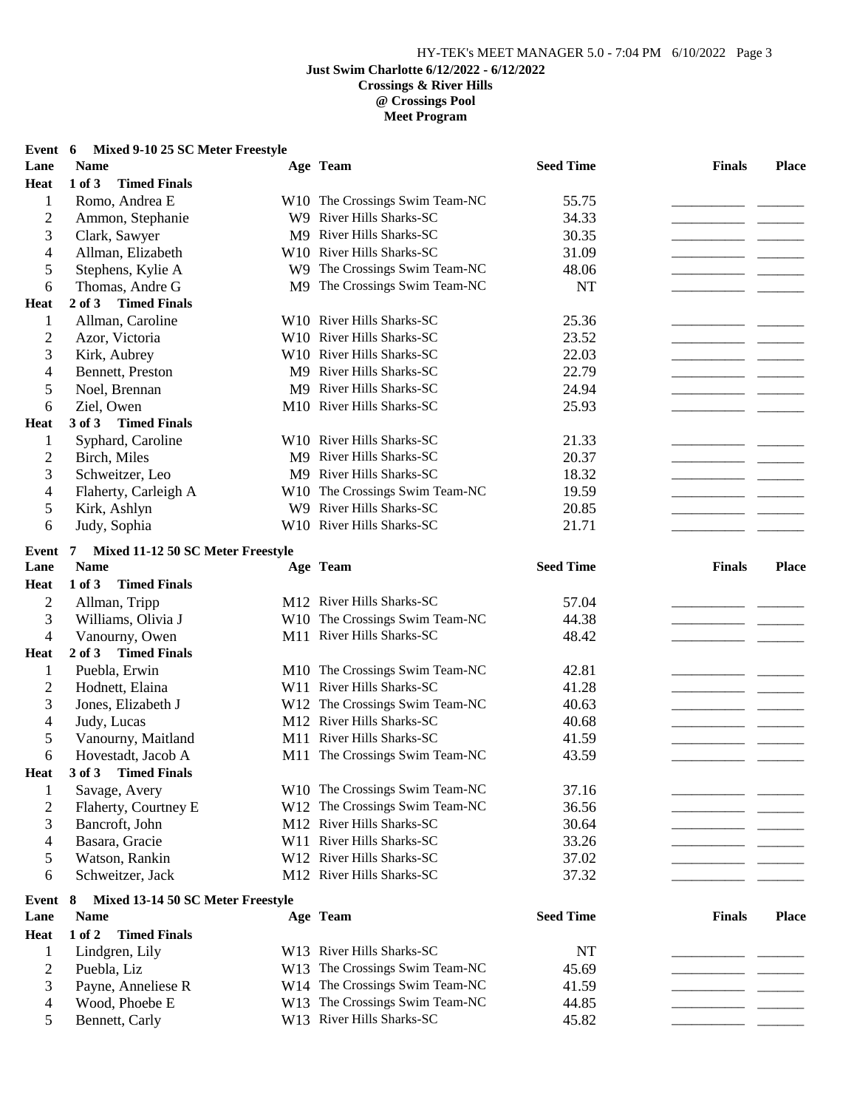### **Event 6 Mixed 9-10 25 SC Meter Freestyle**

| Lane           | <b>Name</b>                             | Age Team                       | <b>Seed Time</b> | <b>Finals</b> | <b>Place</b> |
|----------------|-----------------------------------------|--------------------------------|------------------|---------------|--------------|
| <b>Heat</b>    | $1$ of $3$<br><b>Timed Finals</b>       |                                |                  |               |              |
| 1              | Romo, Andrea E                          | W10 The Crossings Swim Team-NC | 55.75            |               |              |
| $\overline{c}$ | Ammon, Stephanie                        | W9 River Hills Sharks-SC       | 34.33            |               |              |
| 3              | Clark, Sawyer                           | M9 River Hills Sharks-SC       | 30.35            |               |              |
| 4              | Allman, Elizabeth                       | W10 River Hills Sharks-SC      | 31.09            |               |              |
| 5              | Stephens, Kylie A                       | W9 The Crossings Swim Team-NC  | 48.06            |               |              |
| 6              | Thomas, Andre G                         | M9 The Crossings Swim Team-NC  | NT               |               |              |
| <b>Heat</b>    | $2$ of $3$<br><b>Timed Finals</b>       |                                |                  |               |              |
| 1              | Allman, Caroline                        | W10 River Hills Sharks-SC      | 25.36            |               |              |
| $\overline{2}$ | Azor, Victoria                          | W10 River Hills Sharks-SC      | 23.52            |               |              |
| 3              | Kirk, Aubrey                            | W10 River Hills Sharks-SC      | 22.03            |               |              |
| 4              | Bennett, Preston                        | M9 River Hills Sharks-SC       | 22.79            |               |              |
| 5              | Noel, Brennan                           | M9 River Hills Sharks-SC       | 24.94            |               |              |
| 6              | Ziel, Owen                              | M10 River Hills Sharks-SC      | 25.93            |               |              |
| <b>Heat</b>    | 3 of 3 Timed Finals                     |                                |                  |               |              |
| 1              | Syphard, Caroline                       | W10 River Hills Sharks-SC      | 21.33            |               |              |
| $\overline{c}$ | Birch, Miles                            | M9 River Hills Sharks-SC       | 20.37            |               |              |
| 3              | Schweitzer, Leo                         | M9 River Hills Sharks-SC       | 18.32            |               |              |
| 4              | Flaherty, Carleigh A                    | W10 The Crossings Swim Team-NC | 19.59            |               |              |
| 5              | Kirk, Ashlyn                            | W9 River Hills Sharks-SC       | 20.85            |               |              |
| 6              | Judy, Sophia                            | W10 River Hills Sharks-SC      | 21.71            |               |              |
| Event 7        | Mixed 11-12 50 SC Meter Freestyle       |                                |                  |               |              |
| Lane           | <b>Name</b>                             | Age Team                       | <b>Seed Time</b> | <b>Finals</b> | <b>Place</b> |
| <b>Heat</b>    | 1 of 3<br><b>Timed Finals</b>           |                                |                  |               |              |
| $\mathbf{2}$   | Allman, Tripp                           | M12 River Hills Sharks-SC      | 57.04            |               |              |
| 3              | Williams, Olivia J                      | W10 The Crossings Swim Team-NC | 44.38            |               |              |
| $\overline{4}$ | Vanourny, Owen                          | M11 River Hills Sharks-SC      | 48.42            |               |              |
| <b>Heat</b>    | <b>Timed Finals</b><br>$2$ of $3$       |                                |                  |               |              |
| $\mathbf{1}$   | Puebla, Erwin                           | M10 The Crossings Swim Team-NC | 42.81            |               |              |
| $\overline{c}$ | Hodnett, Elaina                         | W11 River Hills Sharks-SC      | 41.28            |               |              |
| 3              | Jones, Elizabeth J                      | W12 The Crossings Swim Team-NC | 40.63            |               |              |
| 4              | Judy, Lucas                             | M12 River Hills Sharks-SC      | 40.68            |               |              |
| 5              | Vanourny, Maitland                      | M11 River Hills Sharks-SC      | 41.59            |               |              |
| 6              | Hovestadt, Jacob A                      | M11 The Crossings Swim Team-NC | 43.59            |               |              |
| <b>Heat</b>    | 3 of 3<br><b>Timed Finals</b>           |                                |                  |               |              |
| $\mathbf{I}$   | Savage, Avery                           | W10 The Crossings Swim Team-NC | 37.16            |               |              |
| $\overline{c}$ | Flaherty, Courtney E                    | W12 The Crossings Swim Team-NC | 36.56            |               |              |
| 3              | Bancroft, John                          | M12 River Hills Sharks-SC      | 30.64            |               |              |
| 4              | Basara, Gracie                          | W11 River Hills Sharks-SC      | 33.26            |               |              |
| 5              | Watson, Rankin                          | W12 River Hills Sharks-SC      | 37.02            |               |              |
| 6              | Schweitzer, Jack                        | M12 River Hills Sharks-SC      | 37.32            |               |              |
|                |                                         |                                |                  |               |              |
| Event          | Mixed 13-14 50 SC Meter Freestyle<br>-8 |                                |                  |               |              |
| Lane           | <b>Name</b>                             | Age Team                       | <b>Seed Time</b> | <b>Finals</b> | <b>Place</b> |
| Heat           | 1 of 2<br><b>Timed Finals</b>           |                                |                  |               |              |
| 1              | Lindgren, Lily                          | W13 River Hills Sharks-SC      | NT               |               |              |
| $\overline{c}$ | Puebla, Liz                             | W13 The Crossings Swim Team-NC | 45.69            |               |              |
| 3              | Payne, Anneliese R                      | W14 The Crossings Swim Team-NC | 41.59            |               |              |
| 4              | Wood, Phoebe E                          | W13 The Crossings Swim Team-NC | 44.85            |               |              |
| 5              | Bennett, Carly                          | W13 River Hills Sharks-SC      | 45.82            |               |              |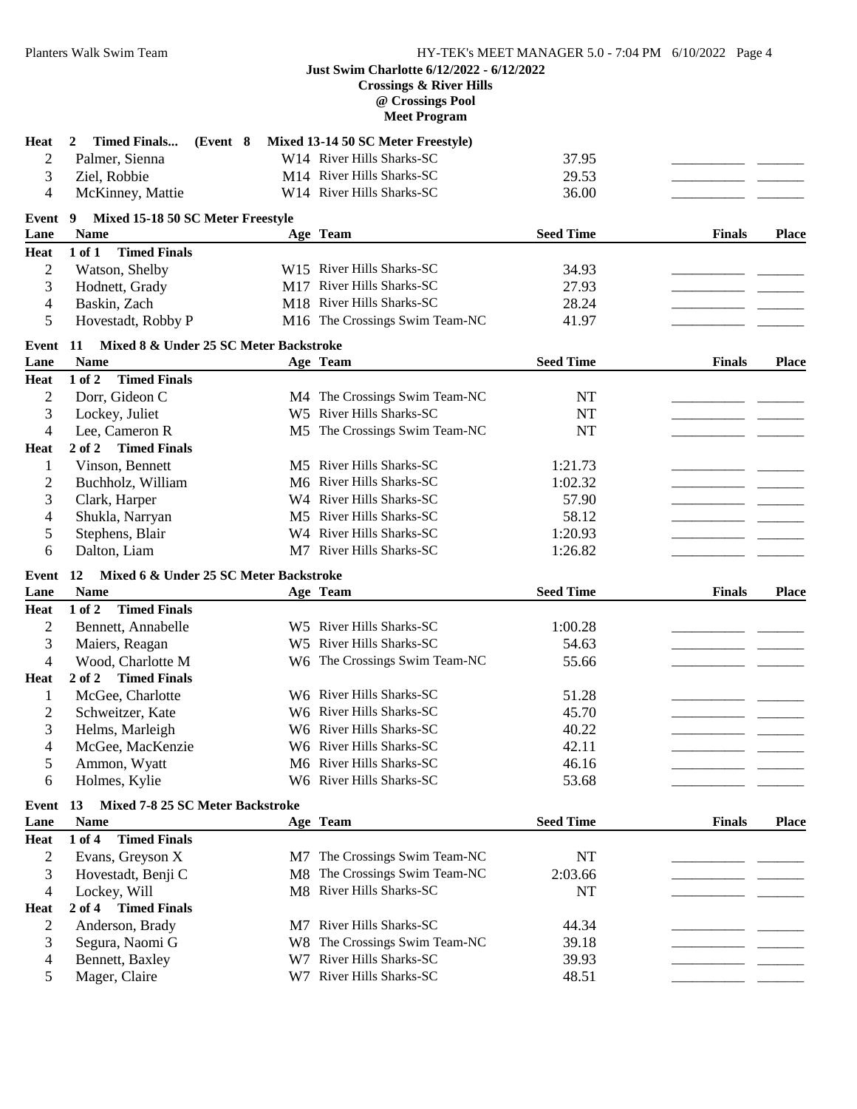## **Just Swim Charlotte 6/12/2022 - 6/12/2022 Crossings & River Hills**

**@ Crossings Pool**

**Meet Program**

| <b>Heat</b>    | <b>Timed Finals</b><br>(Event 8)<br>2         |    | Mixed 13-14 50 SC Meter Freestyle)                   |                  |               |              |
|----------------|-----------------------------------------------|----|------------------------------------------------------|------------------|---------------|--------------|
| $\overline{2}$ | Palmer, Sienna                                |    | W14 River Hills Sharks-SC                            | 37.95            |               |              |
| 3              | Ziel, Robbie                                  |    | M14 River Hills Sharks-SC                            | 29.53            |               |              |
| 4              | McKinney, Mattie                              |    | W14 River Hills Sharks-SC                            | 36.00            |               |              |
|                |                                               |    |                                                      |                  |               |              |
| Event          | Mixed 15-18 50 SC Meter Freestyle<br>9        |    |                                                      |                  |               |              |
| Lane           | <b>Name</b>                                   |    | Age Team                                             | <b>Seed Time</b> | <b>Finals</b> | <b>Place</b> |
| <b>Heat</b>    | <b>Timed Finals</b><br>1 of 1                 |    |                                                      |                  |               |              |
| $\overline{2}$ | Watson, Shelby                                |    | W15 River Hills Sharks-SC                            | 34.93            |               |              |
| 3              | Hodnett, Grady                                |    | M17 River Hills Sharks-SC                            | 27.93            |               |              |
| 4              | Baskin, Zach                                  |    | M18 River Hills Sharks-SC                            | 28.24            |               |              |
| 5              | Hovestadt, Robby P                            |    | M16 The Crossings Swim Team-NC                       | 41.97            |               |              |
| Event 11       | Mixed 8 & Under 25 SC Meter Backstroke        |    |                                                      |                  |               |              |
| Lane           | <b>Name</b>                                   |    | Age Team                                             | <b>Seed Time</b> | <b>Finals</b> | <b>Place</b> |
| Heat           | 1 of 2<br><b>Timed Finals</b>                 |    |                                                      |                  |               |              |
| $\overline{2}$ | Dorr, Gideon C                                |    | M4 The Crossings Swim Team-NC                        | NT               |               |              |
| 3              | Lockey, Juliet                                |    | W5 River Hills Sharks-SC                             | NT               |               |              |
| 4              | Lee, Cameron R                                |    | M5 The Crossings Swim Team-NC                        | <b>NT</b>        |               |              |
| <b>Heat</b>    | 2 of 2<br><b>Timed Finals</b>                 |    |                                                      |                  |               |              |
| 1              | Vinson, Bennett                               |    | M5 River Hills Sharks-SC                             | 1:21.73          |               |              |
| $\overline{c}$ | Buchholz, William                             |    | M6 River Hills Sharks-SC                             | 1:02.32          |               |              |
| 3              | Clark, Harper                                 |    | W4 River Hills Sharks-SC                             | 57.90            |               |              |
| 4              | Shukla, Narryan                               |    | M5 River Hills Sharks-SC                             | 58.12            |               |              |
| 5              | Stephens, Blair                               |    | W4 River Hills Sharks-SC                             | 1:20.93          |               |              |
| 6              | Dalton, Liam                                  |    | M7 River Hills Sharks-SC                             | 1:26.82          |               |              |
| Event          | Mixed 6 & Under 25 SC Meter Backstroke<br>12  |    |                                                      |                  |               |              |
| Lane           | <b>Name</b>                                   |    | Age Team                                             | <b>Seed Time</b> | <b>Finals</b> | <b>Place</b> |
| Heat           | 1 of 2<br><b>Timed Finals</b>                 |    |                                                      |                  |               |              |
| $\overline{2}$ | Bennett, Annabelle                            |    | W5 River Hills Sharks-SC                             | 1:00.28          |               |              |
| 3              | Maiers, Reagan                                |    | W5 River Hills Sharks-SC                             | 54.63            |               |              |
| 4              | Wood, Charlotte M                             |    | W6 The Crossings Swim Team-NC                        | 55.66            |               |              |
| <b>Heat</b>    | 2 of 2 Timed Finals                           |    |                                                      |                  |               |              |
| 1              | McGee, Charlotte                              |    | W6 River Hills Sharks-SC                             | 51.28            |               |              |
| 2              | Schweitzer, Kate                              |    | W6 River Hills Sharks-SC                             | 45.70            |               |              |
| 3              | Helms, Marleigh                               |    | W6 River Hills Sharks-SC                             | 40.22            |               |              |
| 4              | McGee, MacKenzie                              |    | W6 River Hills Sharks-SC                             | 42.11            |               |              |
| 5              | Ammon, Wyatt                                  |    | M6 River Hills Sharks-SC                             | 46.16            |               |              |
| 6              | Holmes, Kylie                                 |    | W6 River Hills Sharks-SC                             | 53.68            |               |              |
|                |                                               |    |                                                      |                  |               |              |
| Event          | Mixed 7-8 25 SC Meter Backstroke<br><b>13</b> |    |                                                      |                  |               |              |
| Lane           | $\mathbf{Name}$                               |    | Age Team                                             | <b>Seed Time</b> | <b>Finals</b> | <b>Place</b> |
| Heat           | <b>Timed Finals</b><br>1 of 4                 |    |                                                      |                  |               |              |
| $\overline{c}$ | Evans, Greyson X                              |    | M7 The Crossings Swim Team-NC                        | NT               |               |              |
| 3              | Hovestadt, Benji C                            | M8 | The Crossings Swim Team-NC                           | 2:03.66          |               |              |
|                |                                               |    |                                                      |                  |               |              |
| 4              | Lockey, Will                                  |    | M8 River Hills Sharks-SC                             | NT               |               |              |
| <b>Heat</b>    | 2 of 4 Timed Finals                           |    |                                                      |                  |               |              |
| $\overline{c}$ | Anderson, Brady                               |    | M7 River Hills Sharks-SC                             | 44.34            |               |              |
| 3              | Segura, Naomi G                               |    | W8 The Crossings Swim Team-NC                        | 39.18            |               |              |
| 4              | Bennett, Baxley                               |    | W7 River Hills Sharks-SC<br>W7 River Hills Sharks-SC | 39.93            |               |              |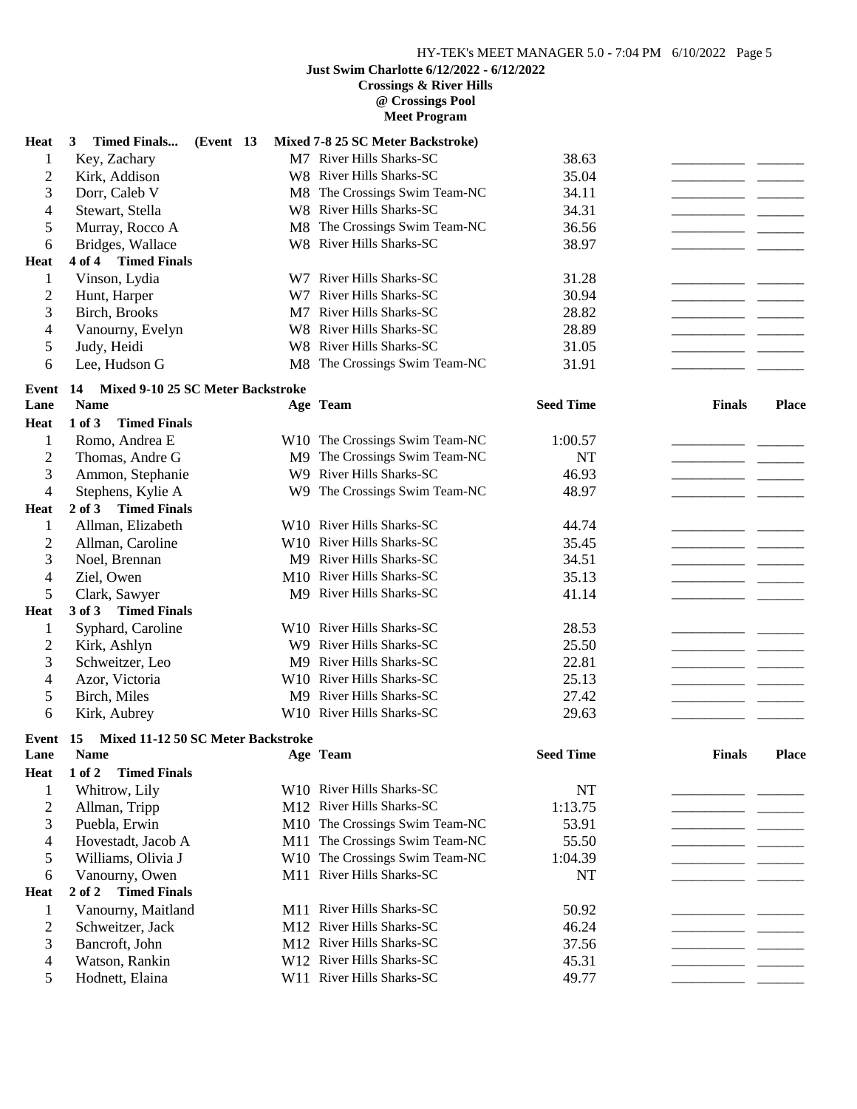# **Just Swim Charlotte 6/12/2022 - 6/12/2022**

**Crossings & River Hills**

**@ Crossings Pool Meet Program**

| Heat           | <b>Timed Finals</b><br>(Event 13<br>3    |     | Mixed 7-8 25 SC Meter Backstroke)     |                  |               |              |
|----------------|------------------------------------------|-----|---------------------------------------|------------------|---------------|--------------|
| 1              | Key, Zachary                             |     | M7 River Hills Sharks-SC              | 38.63            |               |              |
| $\overline{2}$ | Kirk, Addison                            |     | W8 River Hills Sharks-SC              | 35.04            |               |              |
| 3              | Dorr, Caleb V                            |     | M8 The Crossings Swim Team-NC         | 34.11            |               |              |
| $\overline{4}$ | Stewart, Stella                          |     | W8 River Hills Sharks-SC              | 34.31            |               |              |
| 5              | Murray, Rocco A                          | M8  | The Crossings Swim Team-NC            | 36.56            |               |              |
| 6              | Bridges, Wallace                         |     | W8 River Hills Sharks-SC              | 38.97            |               |              |
| <b>Heat</b>    | 4 of 4 Timed Finals                      |     |                                       |                  |               |              |
| 1              | Vinson, Lydia                            |     | W7 River Hills Sharks-SC              | 31.28            |               |              |
| $\overline{2}$ | Hunt, Harper                             | W7. | River Hills Sharks-SC                 | 30.94            |               |              |
| 3              | <b>Birch</b> , <b>Brooks</b>             |     | M7 River Hills Sharks-SC              | 28.82            |               |              |
| 4              | Vanourny, Evelyn                         |     | W8 River Hills Sharks-SC              | 28.89            |               |              |
| 5              | Judy, Heidi                              |     | W8 River Hills Sharks-SC              | 31.05            |               |              |
| 6              | Lee, Hudson G                            |     | M8 The Crossings Swim Team-NC         | 31.91            |               |              |
|                |                                          |     |                                       |                  |               |              |
| Event          | Mixed 9-10 25 SC Meter Backstroke<br>14  |     |                                       |                  |               |              |
| Lane           | <b>Name</b>                              |     | Age Team                              | <b>Seed Time</b> | <b>Finals</b> | <b>Place</b> |
| <b>Heat</b>    | 1 of 3<br><b>Timed Finals</b>            |     |                                       |                  |               |              |
| 1              | Romo, Andrea E                           |     | W10 The Crossings Swim Team-NC        | 1:00.57          |               |              |
| $\overline{c}$ | Thomas, Andre G                          | M9  | The Crossings Swim Team-NC            | <b>NT</b>        |               |              |
| 3              | Ammon, Stephanie                         | W9  | River Hills Sharks-SC                 | 46.93            |               |              |
| $\overline{4}$ | Stephens, Kylie A                        | W9  | The Crossings Swim Team-NC            | 48.97            |               |              |
| <b>Heat</b>    | $2$ of $3$<br><b>Timed Finals</b>        |     |                                       |                  |               |              |
| $\mathbf{1}$   | Allman, Elizabeth                        |     | W10 River Hills Sharks-SC             | 44.74            |               |              |
| $\overline{c}$ | Allman, Caroline                         |     | W10 River Hills Sharks-SC             | 35.45            |               |              |
| 3              | Noel, Brennan                            |     | M9 River Hills Sharks-SC              | 34.51            |               |              |
| 4              | Ziel, Owen                               |     | M10 River Hills Sharks-SC             | 35.13            |               |              |
| 5              | Clark, Sawyer                            |     | M9 River Hills Sharks-SC              | 41.14            |               |              |
| <b>Heat</b>    | 3 of 3 Timed Finals                      |     |                                       |                  |               |              |
| $\mathbf{1}$   | Syphard, Caroline                        |     | W10 River Hills Sharks-SC             | 28.53            |               |              |
| $\overline{c}$ | Kirk, Ashlyn                             |     | W9 River Hills Sharks-SC              | 25.50            |               |              |
| 3              | Schweitzer, Leo                          |     | M9 River Hills Sharks-SC              | 22.81            |               |              |
| 4              | Azor, Victoria                           |     | W10 River Hills Sharks-SC             | 25.13            |               |              |
| 5              | Birch, Miles                             |     | M9 River Hills Sharks-SC              | 27.42            |               |              |
| 6              | Kirk, Aubrey                             |     | W10 River Hills Sharks-SC             | 29.63            |               |              |
| Event          | Mixed 11-12 50 SC Meter Backstroke<br>15 |     |                                       |                  |               |              |
| Lane           | <b>Name</b>                              |     | Age Team                              | <b>Seed Time</b> | <b>Finals</b> | Place        |
| <b>Heat</b>    | <b>Timed Finals</b><br>1 of 2            |     |                                       |                  |               |              |
| 1              | Whitrow, Lily                            |     | W <sub>10</sub> River Hills Sharks-SC | NT               |               |              |
| $\overline{2}$ | Allman, Tripp                            |     | M12 River Hills Sharks-SC             | 1:13.75          |               |              |
| 3              | Puebla, Erwin                            |     | M10 The Crossings Swim Team-NC        | 53.91            |               |              |
| 4              | Hovestadt, Jacob A                       |     | M11 The Crossings Swim Team-NC        | 55.50            |               |              |
| 5              | Williams, Olivia J                       |     | W10 The Crossings Swim Team-NC        | 1:04.39          |               |              |
| 6              | Vanourny, Owen                           |     | M11 River Hills Sharks-SC             | NT               |               |              |
| <b>Heat</b>    | <b>Timed Finals</b><br>$2$ of $2$        |     |                                       |                  |               |              |
| 1              | Vanourny, Maitland                       |     | M11 River Hills Sharks-SC             | 50.92            |               |              |
| $\overline{2}$ | Schweitzer, Jack                         |     | M12 River Hills Sharks-SC             | 46.24            |               |              |
| 3              | Bancroft, John                           |     | M12 River Hills Sharks-SC             | 37.56            |               |              |
| 4              | Watson, Rankin                           |     | W12 River Hills Sharks-SC             | 45.31            |               |              |
| 5              | Hodnett, Elaina                          |     | W11 River Hills Sharks-SC             | 49.77            |               |              |
|                |                                          |     |                                       |                  |               |              |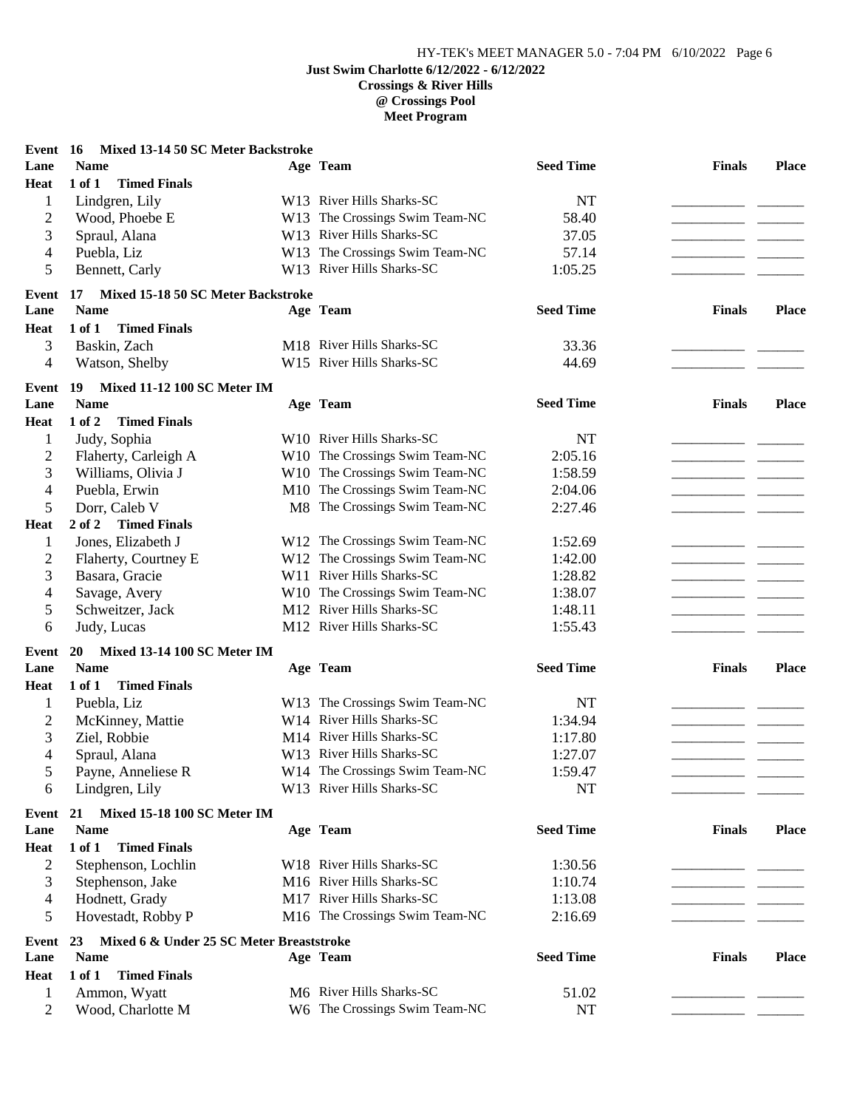#### **Crossings & River Hills @ Crossings Pool Meet Program**

| Event 16       | Mixed 13-14 50 SC Meter Backstroke             |                                |                  |               |              |
|----------------|------------------------------------------------|--------------------------------|------------------|---------------|--------------|
| Lane           | <b>Name</b>                                    | Age Team                       | <b>Seed Time</b> | <b>Finals</b> | <b>Place</b> |
| <b>Heat</b>    | $1$ of $1$<br><b>Timed Finals</b>              |                                |                  |               |              |
| $\mathbf{1}$   | Lindgren, Lily                                 | W13 River Hills Sharks-SC      | NT               |               |              |
| $\overline{2}$ | Wood, Phoebe E                                 | W13 The Crossings Swim Team-NC | 58.40            |               |              |
| 3              | Spraul, Alana                                  | W13 River Hills Sharks-SC      | 37.05            |               |              |
| 4              | Puebla, Liz                                    | W13 The Crossings Swim Team-NC | 57.14            |               |              |
| 5              | Bennett, Carly                                 | W13 River Hills Sharks-SC      | 1:05.25          |               |              |
| Event 17       | Mixed 15-18 50 SC Meter Backstroke             |                                |                  |               |              |
| Lane           | <b>Name</b>                                    | Age Team                       | <b>Seed Time</b> | <b>Finals</b> | <b>Place</b> |
| <b>Heat</b>    | 1 of 1<br><b>Timed Finals</b>                  |                                |                  |               |              |
| 3              | Baskin, Zach                                   | M18 River Hills Sharks-SC      | 33.36            |               |              |
| 4              | Watson, Shelby                                 | W15 River Hills Sharks-SC      | 44.69            |               |              |
| Event          | Mixed 11-12 100 SC Meter IM<br>19              |                                |                  |               |              |
| Lane           | <b>Name</b>                                    | Age Team                       | <b>Seed Time</b> | <b>Finals</b> | <b>Place</b> |
| <b>Heat</b>    | 1 of 2<br><b>Timed Finals</b>                  |                                |                  |               |              |
| $\mathbf{1}$   | Judy, Sophia                                   | W10 River Hills Sharks-SC      | NT               |               |              |
| $\mathbf{2}$   | Flaherty, Carleigh A                           | W10 The Crossings Swim Team-NC | 2:05.16          |               |              |
| 3              | Williams, Olivia J                             | W10 The Crossings Swim Team-NC | 1:58.59          |               |              |
| $\overline{4}$ | Puebla, Erwin                                  | M10 The Crossings Swim Team-NC | 2:04.06          |               |              |
| 5              | Dorr, Caleb V                                  | M8 The Crossings Swim Team-NC  | 2:27.46          |               |              |
| <b>Heat</b>    | 2 of 2<br><b>Timed Finals</b>                  |                                |                  |               |              |
| $\mathbf{1}$   | Jones, Elizabeth J                             | W12 The Crossings Swim Team-NC | 1:52.69          |               |              |
| $\overline{c}$ | Flaherty, Courtney E                           | W12 The Crossings Swim Team-NC | 1:42.00          |               |              |
| 3              | Basara, Gracie                                 | W11 River Hills Sharks-SC      | 1:28.82          |               |              |
| 4              | Savage, Avery                                  | W10 The Crossings Swim Team-NC | 1:38.07          |               |              |
| 5              | Schweitzer, Jack                               | M12 River Hills Sharks-SC      | 1:48.11          |               |              |
| 6              | Judy, Lucas                                    | M12 River Hills Sharks-SC      | 1:55.43          |               |              |
| Event          | <b>Mixed 13-14 100 SC Meter IM</b><br>20       |                                |                  |               |              |
| Lane           | <b>Name</b>                                    | Age Team                       | <b>Seed Time</b> | <b>Finals</b> | <b>Place</b> |
| <b>Heat</b>    | <b>Timed Finals</b><br>1 of 1                  |                                |                  |               |              |
| $\mathbf{1}$   | Puebla, Liz                                    | W13 The Crossings Swim Team-NC | NT               |               |              |
| $\overline{c}$ | McKinney, Mattie                               | W14 River Hills Sharks-SC      | 1:34.94          |               |              |
| 3              | Ziel, Robbie                                   | M14 River Hills Sharks-SC      | 1:17.80          |               |              |
| 4              |                                                | W13 River Hills Sharks-SC      |                  |               |              |
|                | Spraul, Alana<br>Payne, Anneliese R            | W14 The Crossings Swim Team-NC | 1:27.07          |               |              |
| 5              |                                                | W13 River Hills Sharks-SC      | 1:59.47          |               |              |
| 6              | Lindgren, Lily                                 |                                | NT               |               |              |
| Event          | Mixed 15-18 100 SC Meter IM<br>21              |                                |                  |               |              |
| Lane           | <b>Name</b>                                    | Age Team                       | <b>Seed Time</b> | <b>Finals</b> | <b>Place</b> |
| <b>Heat</b>    | 1 of 1<br><b>Timed Finals</b>                  |                                |                  |               |              |
| $\overline{c}$ | Stephenson, Lochlin                            | W18 River Hills Sharks-SC      | 1:30.56          |               |              |
| 3              | Stephenson, Jake                               | M16 River Hills Sharks-SC      | 1:10.74          |               |              |
| 4              | Hodnett, Grady                                 | M17 River Hills Sharks-SC      | 1:13.08          |               |              |
| 5              | Hovestadt, Robby P                             | M16 The Crossings Swim Team-NC | 2:16.69          |               |              |
| Event          | Mixed 6 & Under 25 SC Meter Breaststroke<br>23 |                                |                  |               |              |
| Lane           | <b>Name</b>                                    | Age Team                       | <b>Seed Time</b> | <b>Finals</b> | <b>Place</b> |
| <b>Heat</b>    | 1 of 1<br><b>Timed Finals</b>                  |                                |                  |               |              |
| $\mathbf{1}$   | Ammon, Wyatt                                   | M6 River Hills Sharks-SC       | 51.02            |               |              |
| $\overline{2}$ | Wood, Charlotte M                              | W6 The Crossings Swim Team-NC  | <b>NT</b>        |               |              |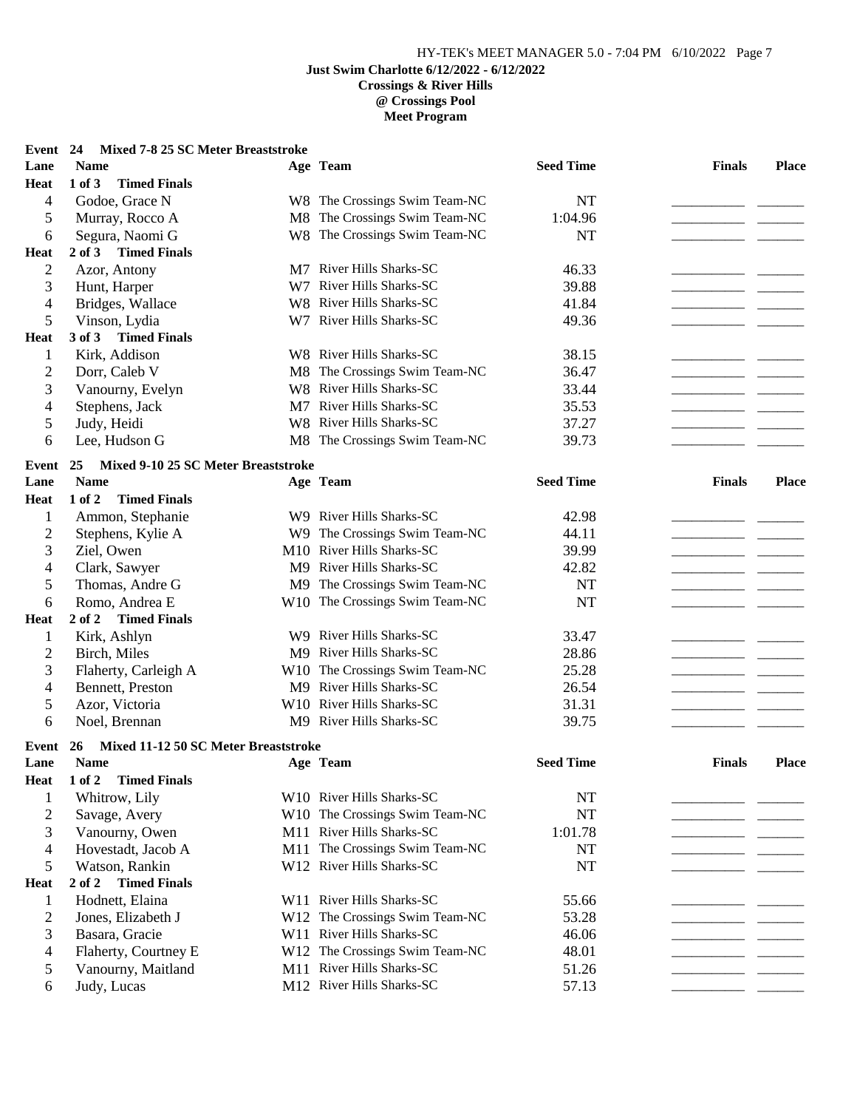## **Meet Program**

| Event 24                 | Mixed 7-8 25 SC Meter Breaststroke                        |     |                                |                  |               |              |
|--------------------------|-----------------------------------------------------------|-----|--------------------------------|------------------|---------------|--------------|
| Lane                     | <b>Name</b>                                               |     | Age Team                       | <b>Seed Time</b> | <b>Finals</b> | <b>Place</b> |
| Heat                     | $1$ of $3$<br><b>Timed Finals</b>                         |     |                                |                  |               |              |
| 4                        | Godoe, Grace N                                            |     | W8 The Crossings Swim Team-NC  | <b>NT</b>        |               |              |
| 5                        | Murray, Rocco A                                           |     | M8 The Crossings Swim Team-NC  | 1:04.96          |               |              |
| 6                        | Segura, Naomi G                                           |     | W8 The Crossings Swim Team-NC  | <b>NT</b>        |               |              |
| <b>Heat</b>              | $2$ of $3$<br><b>Timed Finals</b>                         |     |                                |                  |               |              |
| $\mathbf{2}$             | Azor, Antony                                              |     | M7 River Hills Sharks-SC       | 46.33            |               |              |
| 3                        | Hunt, Harper                                              |     | W7 River Hills Sharks-SC       | 39.88            |               |              |
| $\overline{4}$           | Bridges, Wallace                                          |     | W8 River Hills Sharks-SC       | 41.84            |               |              |
| 5                        | Vinson, Lydia                                             |     | W7 River Hills Sharks-SC       | 49.36            |               |              |
| Heat                     | <b>Timed Finals</b><br>3 of 3                             |     |                                |                  |               |              |
| 1                        | Kirk, Addison                                             |     | W8 River Hills Sharks-SC       | 38.15            |               |              |
| $\overline{c}$           | Dorr, Caleb V                                             |     | M8 The Crossings Swim Team-NC  | 36.47            |               |              |
| 3                        | Vanourny, Evelyn                                          |     | W8 River Hills Sharks-SC       | 33.44            |               |              |
| 4                        | Stephens, Jack                                            | M7  | River Hills Sharks-SC          | 35.53            |               |              |
| 5                        | Judy, Heidi                                               |     | W8 River Hills Sharks-SC       | 37.27            |               |              |
| 6                        | Lee, Hudson G                                             |     | M8 The Crossings Swim Team-NC  | 39.73            |               |              |
|                          |                                                           |     |                                |                  |               |              |
| Event                    | Mixed 9-10 25 SC Meter Breaststroke<br>25                 |     |                                |                  |               |              |
| Lane                     | <b>Name</b>                                               |     | Age Team                       | <b>Seed Time</b> | <b>Finals</b> | Place        |
| Heat                     | <b>Timed Finals</b><br>1 of 2                             |     |                                |                  |               |              |
| 1                        | Ammon, Stephanie                                          |     | W9 River Hills Sharks-SC       | 42.98            |               |              |
| $\overline{c}$           | Stephens, Kylie A                                         |     | W9 The Crossings Swim Team-NC  | 44.11            |               |              |
| 3                        | Ziel, Owen                                                |     | M10 River Hills Sharks-SC      | 39.99            |               |              |
| 4                        | Clark, Sawyer                                             |     | M9 River Hills Sharks-SC       | 42.82            |               |              |
| 5                        | Thomas, Andre G                                           |     | M9 The Crossings Swim Team-NC  | <b>NT</b>        |               |              |
| 6                        | Romo, Andrea E                                            |     | W10 The Crossings Swim Team-NC | <b>NT</b>        |               |              |
| <b>Heat</b>              | 2 of 2<br><b>Timed Finals</b>                             |     |                                |                  |               |              |
| 1                        | Kirk, Ashlyn                                              |     | W9 River Hills Sharks-SC       | 33.47            |               |              |
| $\overline{c}$           | Birch, Miles                                              |     | M9 River Hills Sharks-SC       | 28.86            |               |              |
| 3                        | Flaherty, Carleigh A                                      |     | W10 The Crossings Swim Team-NC | 25.28            |               |              |
| 4                        | Bennett, Preston                                          |     | M9 River Hills Sharks-SC       | 26.54            |               |              |
| 5                        | Azor, Victoria                                            |     | W10 River Hills Sharks-SC      | 31.31            |               |              |
| 6                        | Noel, Brennan                                             |     | M9 River Hills Sharks-SC       | 39.75            |               |              |
|                          |                                                           |     |                                |                  |               |              |
| Event<br>Lane            | Mixed 11-12 50 SC Meter Breaststroke<br>26<br><b>Name</b> |     | Age Team                       | <b>Seed Time</b> | <b>Finals</b> | <b>Place</b> |
|                          | <b>Timed Finals</b>                                       |     |                                |                  |               |              |
| <b>Heat</b>              | 1 of 2                                                    |     |                                |                  |               |              |
| 1                        | Whitrow, Lily                                             |     | W10 River Hills Sharks-SC      | NT               |               |              |
| $\overline{c}$           | Savage, Avery                                             |     | W10 The Crossings Swim Team-NC | <b>NT</b>        |               |              |
| 3                        | Vanourny, Owen                                            |     | M11 River Hills Sharks-SC      | 1:01.78          |               |              |
| $\overline{\mathcal{L}}$ | Hovestadt, Jacob A                                        |     | M11 The Crossings Swim Team-NC | <b>NT</b>        |               |              |
| 5                        | Watson, Rankin                                            |     | W12 River Hills Sharks-SC      | <b>NT</b>        |               |              |
| Heat                     | <b>Timed Finals</b><br>2 of 2                             |     |                                |                  |               |              |
| 1                        | Hodnett, Elaina                                           |     | W11 River Hills Sharks-SC      | 55.66            |               |              |
| $\overline{c}$           | Jones, Elizabeth J                                        |     | W12 The Crossings Swim Team-NC | 53.28            |               |              |
| 3                        | Basara, Gracie                                            | W11 | River Hills Sharks-SC          | 46.06            |               |              |
| 4                        | Flaherty, Courtney E                                      |     | W12 The Crossings Swim Team-NC | 48.01            |               |              |
| 5                        | Vanourny, Maitland                                        | M11 | River Hills Sharks-SC          | 51.26            |               |              |
| 6                        | Judy, Lucas                                               |     | M12 River Hills Sharks-SC      | 57.13            |               |              |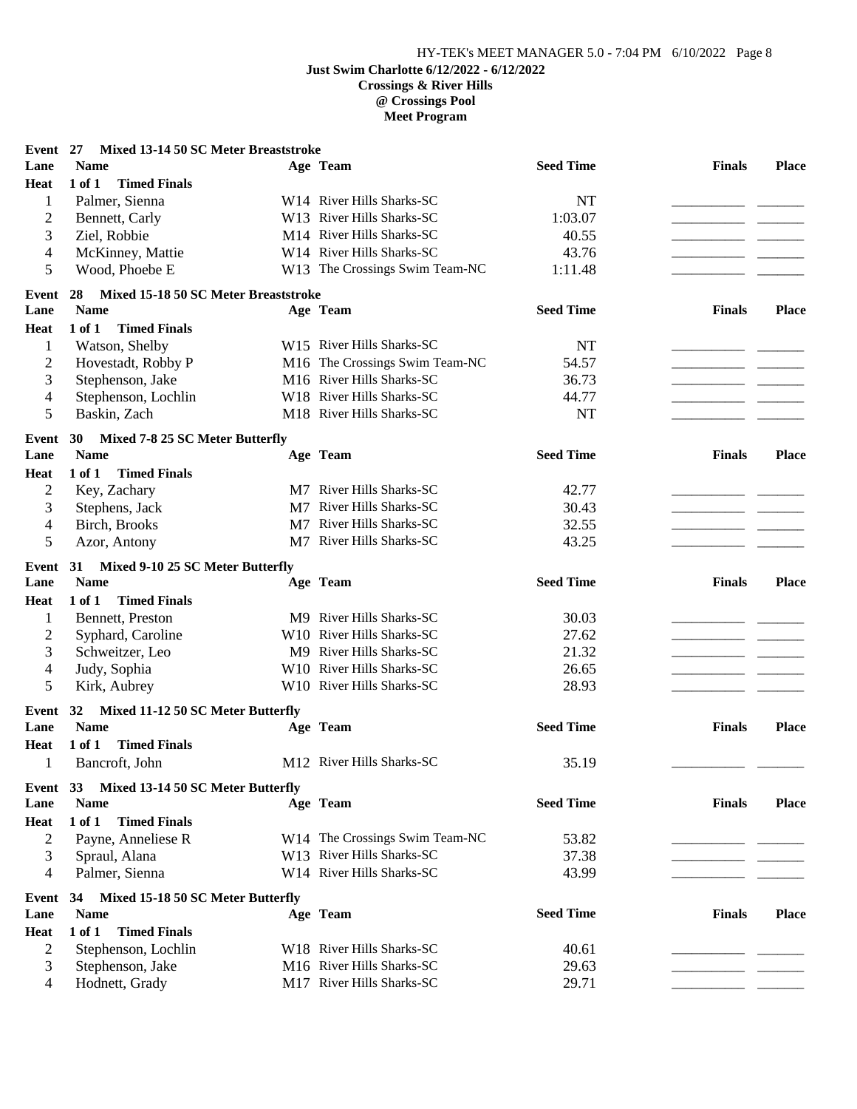## **@ Crossings Pool Meet Program**

| Event 27       | Mixed 13-14 50 SC Meter Breaststroke       |                                |                  |               |              |
|----------------|--------------------------------------------|--------------------------------|------------------|---------------|--------------|
| Lane           | <b>Name</b>                                | Age Team                       | <b>Seed Time</b> | <b>Finals</b> | <b>Place</b> |
| <b>Heat</b>    | $1$ of $1$<br><b>Timed Finals</b>          |                                |                  |               |              |
| $\mathbf{1}$   | Palmer, Sienna                             | W14 River Hills Sharks-SC      | NT               |               |              |
| $\overline{c}$ | Bennett, Carly                             | W13 River Hills Sharks-SC      | 1:03.07          |               |              |
| 3              | Ziel, Robbie                               | M14 River Hills Sharks-SC      | 40.55            |               |              |
| 4              | McKinney, Mattie                           | W14 River Hills Sharks-SC      | 43.76            |               |              |
| 5              | Wood, Phoebe E                             | W13 The Crossings Swim Team-NC | 1:11.48          |               |              |
| Event          | Mixed 15-18 50 SC Meter Breaststroke<br>28 |                                |                  |               |              |
| Lane           | <b>Name</b>                                | Age Team                       | <b>Seed Time</b> | <b>Finals</b> | <b>Place</b> |
| Heat           | 1 of 1<br><b>Timed Finals</b>              |                                |                  |               |              |
| 1              | Watson, Shelby                             | W15 River Hills Sharks-SC      | NT               |               |              |
| $\overline{2}$ | Hovestadt, Robby P                         | M16 The Crossings Swim Team-NC | 54.57            |               |              |
| 3              | Stephenson, Jake                           | M16 River Hills Sharks-SC      | 36.73            |               |              |
| 4              | Stephenson, Lochlin                        | W18 River Hills Sharks-SC      | 44.77            |               |              |
| 5              | Baskin, Zach                               | M18 River Hills Sharks-SC      | <b>NT</b>        |               |              |
| Event          | Mixed 7-8 25 SC Meter Butterfly<br>30      |                                |                  |               |              |
| Lane           | <b>Name</b>                                | Age Team                       | <b>Seed Time</b> | <b>Finals</b> | <b>Place</b> |
| <b>Heat</b>    | $1$ of $1$<br><b>Timed Finals</b>          |                                |                  |               |              |
| $\overline{2}$ | Key, Zachary                               | M7 River Hills Sharks-SC       | 42.77            |               |              |
| 3              | Stephens, Jack                             | M7 River Hills Sharks-SC       | 30.43            |               |              |
| 4              | Birch, Brooks                              | M7 River Hills Sharks-SC       | 32.55            |               |              |
| 5              | Azor, Antony                               | M7 River Hills Sharks-SC       | 43.25            |               |              |
| Event          | Mixed 9-10 25 SC Meter Butterfly<br>31     |                                |                  |               |              |
| Lane           | <b>Name</b>                                | Age Team                       | <b>Seed Time</b> | <b>Finals</b> | <b>Place</b> |
| Heat           | 1 of 1<br><b>Timed Finals</b>              |                                |                  |               |              |
| 1              | Bennett, Preston                           | M9 River Hills Sharks-SC       | 30.03            |               |              |
| $\overline{c}$ | Syphard, Caroline                          | W10 River Hills Sharks-SC      | 27.62            |               |              |
| 3              | Schweitzer, Leo                            | M9 River Hills Sharks-SC       | 21.32            |               |              |
| 4              | Judy, Sophia                               | W10 River Hills Sharks-SC      | 26.65            |               |              |
| 5              | Kirk, Aubrey                               | W10 River Hills Sharks-SC      | 28.93            |               |              |
|                |                                            |                                |                  |               |              |
| Event          | Mixed 11-12 50 SC Meter Butterfly<br>32    |                                |                  |               |              |
| Lane           | <b>Name</b>                                | Age Team                       | <b>Seed Time</b> | <b>Finals</b> | <b>Place</b> |
| <b>Heat</b>    | 1 of 1<br><b>Timed Finals</b>              |                                |                  |               |              |
| 1              | Bancroft, John                             | M12 River Hills Sharks-SC      | 35.19            |               |              |
| Event 33       | Mixed 13-14 50 SC Meter Butterfly          |                                |                  |               |              |
| Lane           | <b>Name</b>                                | Age Team                       | <b>Seed Time</b> | <b>Finals</b> | <b>Place</b> |
| <b>Heat</b>    | 1 of 1<br><b>Timed Finals</b>              |                                |                  |               |              |
| $\overline{2}$ | Payne, Anneliese R                         | W14 The Crossings Swim Team-NC | 53.82            |               |              |
| 3              | Spraul, Alana                              | W13 River Hills Sharks-SC      | 37.38            |               |              |
| $\overline{4}$ | Palmer, Sienna                             | W14 River Hills Sharks-SC      | 43.99            |               |              |
| Event          | Mixed 15-18 50 SC Meter Butterfly<br>34    |                                |                  |               |              |
| Lane           | <b>Name</b>                                | Age Team                       | <b>Seed Time</b> | <b>Finals</b> | <b>Place</b> |
| <b>Heat</b>    | $1$ of $1$<br><b>Timed Finals</b>          |                                |                  |               |              |
| $\overline{2}$ | Stephenson, Lochlin                        | W18 River Hills Sharks-SC      | 40.61            |               |              |
| 3              | Stephenson, Jake                           | M16 River Hills Sharks-SC      | 29.63            |               |              |
| 4              | Hodnett, Grady                             | M17 River Hills Sharks-SC      | 29.71            |               |              |